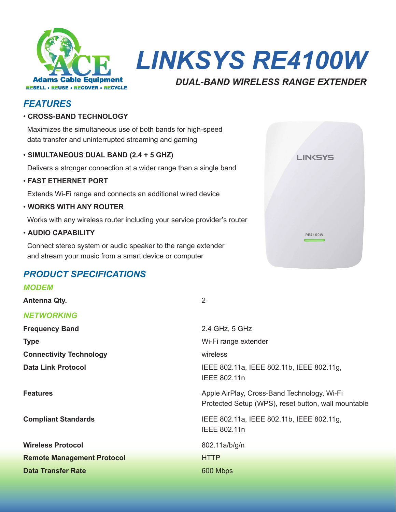

*LINKSYS RE4100W*

## *DUAL-BAND WIRELESS RANGE EXTENDER*

**LINKSYS** 

**RE4100W** 

# *FEATURES*

## • **CROSS-BAND TECHNOLOGY**

 Maximizes the simultaneous use of both bands for high-speed data transfer and uninterrupted streaming and gaming

## • **SIMULTANEOUS DUAL BAND (2.4 + 5 GHZ)**

Delivers a stronger connection at a wider range than a single band

• **FAST ETHERNET PORT**

Extends Wi-Fi range and connects an additional wired device

• **WORKS WITH ANY ROUTER**

Works with any wireless router including your service provider's router

## • **AUDIO CAPABILITY**

 Connect stereo system or audio speaker to the range extender and stream your music from a smart device or computer

# *PRODUCT SPECIFICATIONS*

## *MODEM*

*NETWORKING*

# **Antenna Qty.** 2

| <b>NETWORKING</b>                 |                                                                                                    |
|-----------------------------------|----------------------------------------------------------------------------------------------------|
| <b>Frequency Band</b>             | 2.4 GHz, 5 GHz                                                                                     |
| <b>Type</b>                       | Wi-Fi range extender                                                                               |
| <b>Connectivity Technology</b>    | wireless                                                                                           |
| <b>Data Link Protocol</b>         | IEEE 802.11a, IEEE 802.11b, IEEE 802.11g,<br>IEEE 802.11n                                          |
| <b>Features</b>                   | Apple AirPlay, Cross-Band Technology, Wi-Fi<br>Protected Setup (WPS), reset button, wall mountable |
| <b>Compliant Standards</b>        | IEEE 802.11a, IEEE 802.11b, IEEE 802.11g,<br>IEEE 802.11n                                          |
| <b>Wireless Protocol</b>          | 802.11a/b/g/n                                                                                      |
| <b>Remote Management Protocol</b> | <b>HTTP</b>                                                                                        |
| <b>Data Transfer Rate</b>         | 600 Mbps                                                                                           |
|                                   |                                                                                                    |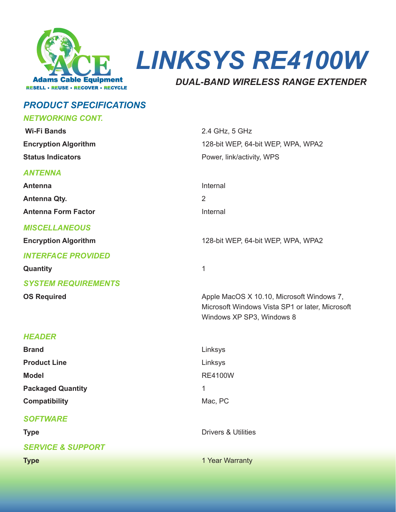

**LINKSYS RE4100W** 

## **DUAL-BAND WIRELESS RANGE EXTENDER**

## **PRODUCT SPECIFICATIONS**

#### **NETWORKING CONT. Wi-Fi Bands** 2.4 GHz, 5 GHz **Encryption Algorithm** 128-bit WEP, 64-bit WEP, WPA, WPA2 **Status Indicators** Power, link/activity, WPS **ANTENNA** Internal **Antenna Antenna Qty.**  $\mathcal{P}$ **Antenna Form Factor** Internal **MISCELLANEOUS Encryption Algorithm** 128-bit WEP, 64-bit WEP, WPA, WPA2 **INTERFACE PROVIDED** Quantity  $\mathbf{1}$ **SYSTEM REQUIREMENTS OS Required** Apple MacOS X 10.10, Microsoft Windows 7, Microsoft Windows Vista SP1 or later. Microsoft Windows XP SP3, Windows 8 **HFADFR Brand** Linksys **Product Line** Linksys **RE4100W Model Packaged Quantity**  $\mathbf{1}$ **Compatibility** Mac, PC **SOFTWARE** Drivers & Utilities **Type SERVICE & SUPPORT Type** 1 Year Warranty